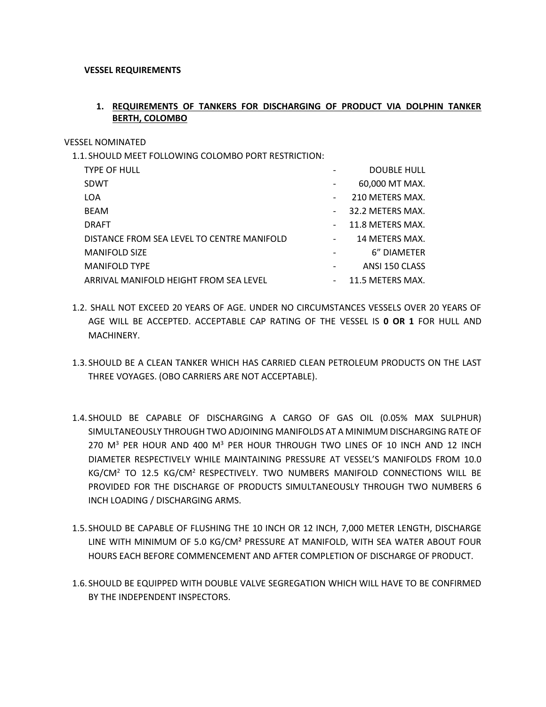## **VESSEL REQUIREMENTS**

## **1. REQUIREMENTS OF TANKERS FOR DISCHARGING OF PRODUCT VIA DOLPHIN TANKER BERTH, COLOMBO**

## VESSEL NOMINATED

1.1.SHOULD MEET FOLLOWING COLOMBO PORT RESTRICTION:

| <b>TYPE OF HULL</b>                        | <b>DOUBLE HULL</b> |
|--------------------------------------------|--------------------|
| <b>SDWT</b>                                | 60,000 MT MAX.     |
| <b>LOA</b>                                 | 210 METERS MAX.    |
| <b>BEAM</b>                                | 32.2 METERS MAX.   |
| <b>DRAFT</b>                               | 11.8 METERS MAX.   |
| DISTANCE FROM SEA LEVEL TO CENTRE MANIFOLD | 14 METERS MAX.     |
| <b>MANIFOLD SIZE</b>                       | 6" DIAMETER        |
| <b>MANIFOLD TYPE</b>                       | ANSI 150 CLASS     |
| ARRIVAL MANIFOLD HEIGHT FROM SEA LEVEL     | 11.5 METERS MAX.   |

- 1.2. SHALL NOT EXCEED 20 YEARS OF AGE. UNDER NO CIRCUMSTANCES VESSELS OVER 20 YEARS OF AGE WILL BE ACCEPTED. ACCEPTABLE CAP RATING OF THE VESSEL IS **0 OR 1** FOR HULL AND MACHINERY.
- 1.3.SHOULD BE A CLEAN TANKER WHICH HAS CARRIED CLEAN PETROLEUM PRODUCTS ON THE LAST THREE VOYAGES. (OBO CARRIERS ARE NOT ACCEPTABLE).
- 1.4.SHOULD BE CAPABLE OF DISCHARGING A CARGO OF GAS OIL (0.05% MAX SULPHUR) SIMULTANEOUSLY THROUGH TWO ADJOINING MANIFOLDS AT A MINIMUM DISCHARGING RATE OF 270  $M<sup>3</sup>$  PER HOUR AND 400  $M<sup>3</sup>$  PER HOUR THROUGH TWO LINES OF 10 INCH AND 12 INCH DIAMETER RESPECTIVELY WHILE MAINTAINING PRESSURE AT VESSEL'S MANIFOLDS FROM 10.0 KG/CM<sup>2</sup> TO 12.5 KG/CM<sup>2</sup> RESPECTIVELY. TWO NUMBERS MANIFOLD CONNECTIONS WILL BE PROVIDED FOR THE DISCHARGE OF PRODUCTS SIMULTANEOUSLY THROUGH TWO NUMBERS 6 INCH LOADING / DISCHARGING ARMS.
- 1.5.SHOULD BE CAPABLE OF FLUSHING THE 10 INCH OR 12 INCH, 7,000 METER LENGTH, DISCHARGE LINE WITH MINIMUM OF 5.0 KG/CM² PRESSURE AT MANIFOLD, WITH SEA WATER ABOUT FOUR HOURS EACH BEFORE COMMENCEMENT AND AFTER COMPLETION OF DISCHARGE OF PRODUCT.
- 1.6.SHOULD BE EQUIPPED WITH DOUBLE VALVE SEGREGATION WHICH WILL HAVE TO BE CONFIRMED BY THE INDEPENDENT INSPECTORS.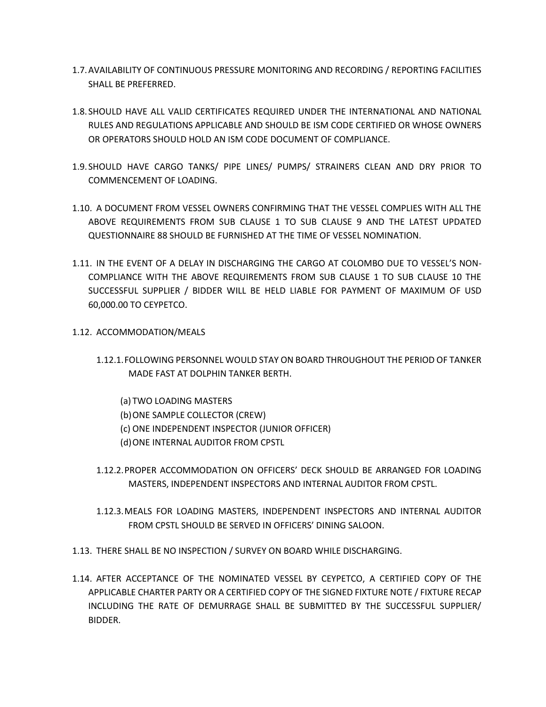- 1.7.AVAILABILITY OF CONTINUOUS PRESSURE MONITORING AND RECORDING / REPORTING FACILITIES SHALL BE PREFERRED.
- 1.8.SHOULD HAVE ALL VALID CERTIFICATES REQUIRED UNDER THE INTERNATIONAL AND NATIONAL RULES AND REGULATIONS APPLICABLE AND SHOULD BE ISM CODE CERTIFIED OR WHOSE OWNERS OR OPERATORS SHOULD HOLD AN ISM CODE DOCUMENT OF COMPLIANCE.
- 1.9.SHOULD HAVE CARGO TANKS/ PIPE LINES/ PUMPS/ STRAINERS CLEAN AND DRY PRIOR TO COMMENCEMENT OF LOADING.
- 1.10. A DOCUMENT FROM VESSEL OWNERS CONFIRMING THAT THE VESSEL COMPLIES WITH ALL THE ABOVE REQUIREMENTS FROM SUB CLAUSE 1 TO SUB CLAUSE 9 AND THE LATEST UPDATED QUESTIONNAIRE 88 SHOULD BE FURNISHED AT THE TIME OF VESSEL NOMINATION.
- 1.11. IN THE EVENT OF A DELAY IN DISCHARGING THE CARGO AT COLOMBO DUE TO VESSEL'S NON-COMPLIANCE WITH THE ABOVE REQUIREMENTS FROM SUB CLAUSE 1 TO SUB CLAUSE 10 THE SUCCESSFUL SUPPLIER / BIDDER WILL BE HELD LIABLE FOR PAYMENT OF MAXIMUM OF USD 60,000.00 TO CEYPETCO.
- 1.12. ACCOMMODATION/MEALS
	- 1.12.1.FOLLOWING PERSONNEL WOULD STAY ON BOARD THROUGHOUT THE PERIOD OF TANKER MADE FAST AT DOLPHIN TANKER BERTH.
		- (a) TWO LOADING MASTERS (b)ONE SAMPLE COLLECTOR (CREW) (c) ONE INDEPENDENT INSPECTOR (JUNIOR OFFICER) (d)ONE INTERNAL AUDITOR FROM CPSTL
	- 1.12.2.PROPER ACCOMMODATION ON OFFICERS' DECK SHOULD BE ARRANGED FOR LOADING MASTERS, INDEPENDENT INSPECTORS AND INTERNAL AUDITOR FROM CPSTL.
	- 1.12.3.MEALS FOR LOADING MASTERS, INDEPENDENT INSPECTORS AND INTERNAL AUDITOR FROM CPSTL SHOULD BE SERVED IN OFFICERS' DINING SALOON.
- 1.13. THERE SHALL BE NO INSPECTION / SURVEY ON BOARD WHILE DISCHARGING.
- 1.14. AFTER ACCEPTANCE OF THE NOMINATED VESSEL BY CEYPETCO, A CERTIFIED COPY OF THE APPLICABLE CHARTER PARTY OR A CERTIFIED COPY OF THE SIGNED FIXTURE NOTE / FIXTURE RECAP INCLUDING THE RATE OF DEMURRAGE SHALL BE SUBMITTED BY THE SUCCESSFUL SUPPLIER/ BIDDER.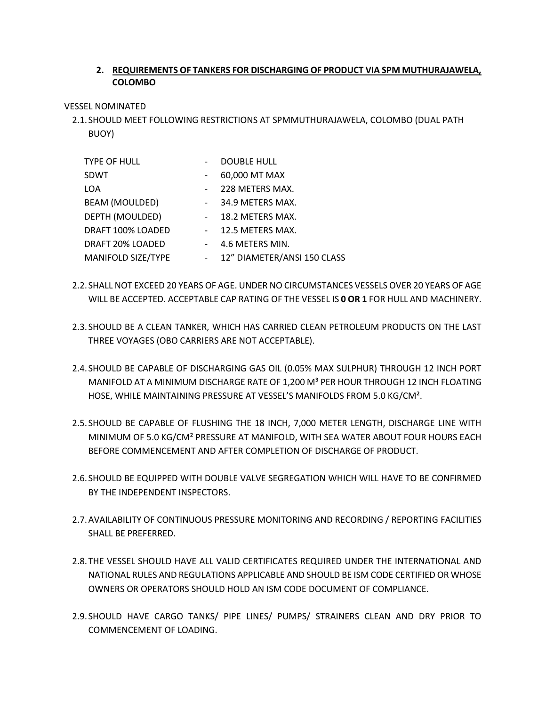# **2. REQUIREMENTS OF TANKERS FOR DISCHARGING OF PRODUCT VIA SPM MUTHURAJAWELA, COLOMBO**

VESSEL NOMINATED

2.1.SHOULD MEET FOLLOWING RESTRICTIONS AT SPMMUTHURAJAWELA, COLOMBO (DUAL PATH BUOY)

| <b>TYPE OF HULL</b>   | <b>DOUBLE HULL</b>          |
|-----------------------|-----------------------------|
| <b>SDWT</b>           | 60,000 MT MAX               |
| <b>LOA</b>            | 228 METERS MAX.             |
| <b>BEAM (MOULDED)</b> | 34.9 METERS MAX.            |
| DEPTH (MOULDED)       | 18.2 METERS MAX.            |
| DRAFT 100% LOADED     | 12.5 METERS MAX.            |
| DRAFT 20% LOADED      | 4.6 METERS MIN.             |
| MANIFOLD SIZE/TYPE    | 12" DIAMETER/ANSI 150 CLASS |

- 2.2.SHALL NOT EXCEED 20 YEARS OF AGE. UNDER NO CIRCUMSTANCES VESSELS OVER 20 YEARS OF AGE WILL BE ACCEPTED. ACCEPTABLE CAP RATING OF THE VESSEL IS **0 OR 1** FOR HULL AND MACHINERY.
- 2.3.SHOULD BE A CLEAN TANKER, WHICH HAS CARRIED CLEAN PETROLEUM PRODUCTS ON THE LAST THREE VOYAGES (OBO CARRIERS ARE NOT ACCEPTABLE).
- 2.4.SHOULD BE CAPABLE OF DISCHARGING GAS OIL (0.05% MAX SULPHUR) THROUGH 12 INCH PORT MANIFOLD AT A MINIMUM DISCHARGE RATE OF 1,200 M<sup>3</sup> PER HOUR THROUGH 12 INCH FLOATING HOSE, WHILE MAINTAINING PRESSURE AT VESSEL'S MANIFOLDS FROM 5.0 KG/CM².
- 2.5.SHOULD BE CAPABLE OF FLUSHING THE 18 INCH, 7,000 METER LENGTH, DISCHARGE LINE WITH MINIMUM OF 5.0 KG/CM² PRESSURE AT MANIFOLD, WITH SEA WATER ABOUT FOUR HOURS EACH BEFORE COMMENCEMENT AND AFTER COMPLETION OF DISCHARGE OF PRODUCT.
- 2.6.SHOULD BE EQUIPPED WITH DOUBLE VALVE SEGREGATION WHICH WILL HAVE TO BE CONFIRMED BY THE INDEPENDENT INSPECTORS.
- 2.7.AVAILABILITY OF CONTINUOUS PRESSURE MONITORING AND RECORDING / REPORTING FACILITIES SHALL BE PREFERRED.
- 2.8.THE VESSEL SHOULD HAVE ALL VALID CERTIFICATES REQUIRED UNDER THE INTERNATIONAL AND NATIONAL RULES AND REGULATIONS APPLICABLE AND SHOULD BE ISM CODE CERTIFIED OR WHOSE OWNERS OR OPERATORS SHOULD HOLD AN ISM CODE DOCUMENT OF COMPLIANCE.
- 2.9.SHOULD HAVE CARGO TANKS/ PIPE LINES/ PUMPS/ STRAINERS CLEAN AND DRY PRIOR TO COMMENCEMENT OF LOADING.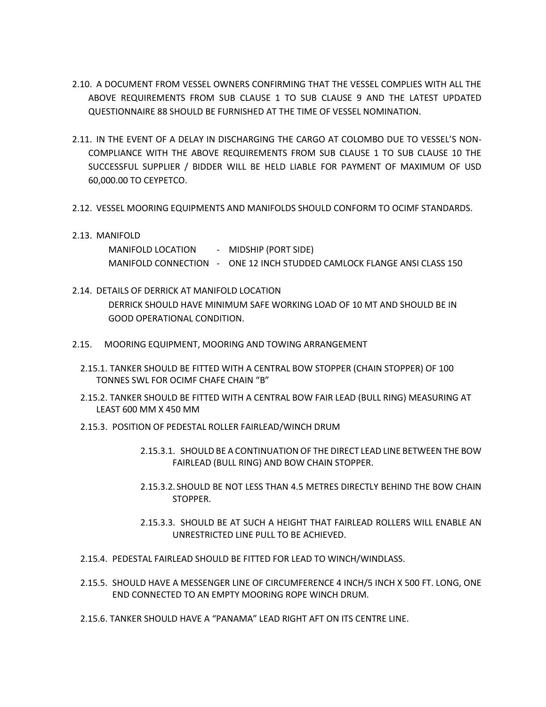- 2.10. A DOCUMENT FROM VESSEL OWNERS CONFIRMING THAT THE VESSEL COMPLIES WITH ALL THE ABOVE REQUIREMENTS FROM SUB CLAUSE 1 TO SUB CLAUSE 9 AND THE LATEST UPDATED QUESTIONNAIRE 88 SHOULD BE FURNISHED AT THE TIME OF VESSEL NOMINATION.
- 2.11. IN THE EVENT OF A DELAY IN DISCHARGING THE CARGO AT COLOMBO DUE TO VESSEL'S NON-COMPLIANCE WITH THE ABOVE REQUIREMENTS FROM SUB CLAUSE 1 TO SUB CLAUSE 10 THE SUCCESSFUL SUPPLIER / BIDDER WILL BE HELD LIABLE FOR PAYMENT OF MAXIMUM OF USD 60,000.00 TO CEYPETCO.
- 2.12. VESSEL MOORING EQUIPMENTS AND MANIFOLDS SHOULD CONFORM TO OCIMF STANDARDS.
- 2.13. MANIFOLD

MANIFOLD LOCATION - MIDSHIP (PORT SIDE) MANIFOLD CONNECTION - ONE 12 INCH STUDDED CAMLOCK FLANGE ANSI CLASS 150

- 2.14. DETAILS OF DERRICK AT MANIFOLD LOCATION DERRICK SHOULD HAVE MINIMUM SAFE WORKING LOAD OF 10 MT AND SHOULD BE IN GOOD OPERATIONAL CONDITION.
- 2.15. MOORING EQUIPMENT, MOORING AND TOWING ARRANGEMENT
	- 2.15.1. TANKER SHOULD BE FITTED WITH A CENTRAL BOW STOPPER (CHAIN STOPPER) OF 100 TONNES SWL FOR OCIMF CHAFE CHAIN "B"
	- 2.15.2. TANKER SHOULD BE FITTED WITH A CENTRAL BOW FAIR LEAD (BULL RING) MEASURING AT LEAST 600 MM X 450 MM
	- 2.15.3. POSITION OF PEDESTAL ROLLER FAIRLEAD/WINCH DRUM
		- 2.15.3.1. SHOULD BE A CONTINUATION OF THE DIRECT LEAD LINE BETWEEN THE BOW FAIRLEAD (BULL RING) AND BOW CHAIN STOPPER.
		- 2.15.3.2. SHOULD BE NOT LESS THAN 4.5 METRES DIRECTLY BEHIND THE BOW CHAIN STOPPER.
		- 2.15.3.3. SHOULD BE AT SUCH A HEIGHT THAT FAIRLEAD ROLLERS WILL ENABLE AN UNRESTRICTED LINE PULL TO BE ACHIEVED.
	- 2.15.4. PEDESTAL FAIRLEAD SHOULD BE FITTED FOR LEAD TO WINCH/WINDLASS.
	- 2.15.5. SHOULD HAVE A MESSENGER LINE OF CIRCUMFERENCE 4 INCH/5 INCH X 500 FT. LONG, ONE END CONNECTED TO AN EMPTY MOORING ROPE WINCH DRUM.
	- 2.15.6. TANKER SHOULD HAVE A "PANAMA" LEAD RIGHT AFT ON ITS CENTRE LINE.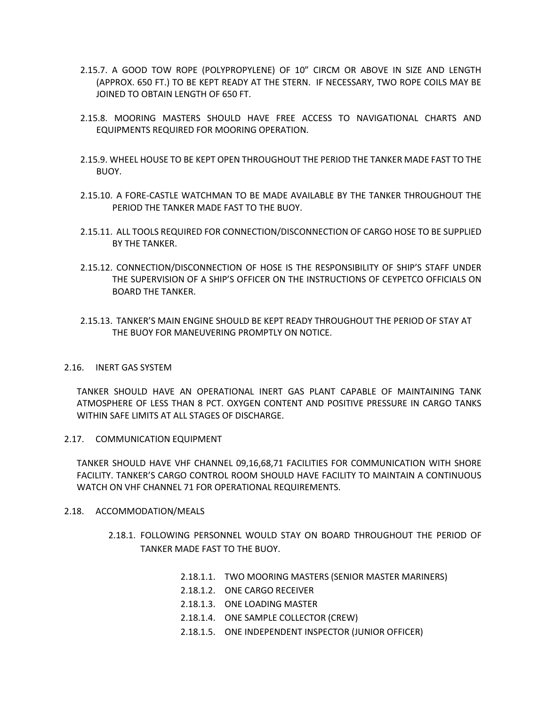- 2.15.7. A GOOD TOW ROPE (POLYPROPYLENE) OF 10" CIRCM OR ABOVE IN SIZE AND LENGTH (APPROX. 650 FT.) TO BE KEPT READY AT THE STERN. IF NECESSARY, TWO ROPE COILS MAY BE JOINED TO OBTAIN LENGTH OF 650 FT.
- 2.15.8. MOORING MASTERS SHOULD HAVE FREE ACCESS TO NAVIGATIONAL CHARTS AND EQUIPMENTS REQUIRED FOR MOORING OPERATION.
- 2.15.9. WHEEL HOUSE TO BE KEPT OPEN THROUGHOUT THE PERIOD THE TANKER MADE FAST TO THE BUOY.
- 2.15.10. A FORE-CASTLE WATCHMAN TO BE MADE AVAILABLE BY THE TANKER THROUGHOUT THE PERIOD THE TANKER MADE FAST TO THE BUOY.
- 2.15.11. ALL TOOLS REQUIRED FOR CONNECTION/DISCONNECTION OF CARGO HOSE TO BE SUPPLIED BY THE TANKER.
- 2.15.12. CONNECTION/DISCONNECTION OF HOSE IS THE RESPONSIBILITY OF SHIP'S STAFF UNDER THE SUPERVISION OF A SHIP'S OFFICER ON THE INSTRUCTIONS OF CEYPETCO OFFICIALS ON BOARD THE TANKER.
- 2.15.13. TANKER'S MAIN ENGINE SHOULD BE KEPT READY THROUGHOUT THE PERIOD OF STAY AT THE BUOY FOR MANEUVERING PROMPTLY ON NOTICE.

## 2.16. INERT GAS SYSTEM

TANKER SHOULD HAVE AN OPERATIONAL INERT GAS PLANT CAPABLE OF MAINTAINING TANK ATMOSPHERE OF LESS THAN 8 PCT. OXYGEN CONTENT AND POSITIVE PRESSURE IN CARGO TANKS WITHIN SAFE LIMITS AT ALL STAGES OF DISCHARGE.

2.17. COMMUNICATION EQUIPMENT

TANKER SHOULD HAVE VHF CHANNEL 09,16,68,71 FACILITIES FOR COMMUNICATION WITH SHORE FACILITY. TANKER'S CARGO CONTROL ROOM SHOULD HAVE FACILITY TO MAINTAIN A CONTINUOUS WATCH ON VHF CHANNEL 71 FOR OPERATIONAL REQUIREMENTS.

## 2.18. ACCOMMODATION/MEALS

- 2.18.1. FOLLOWING PERSONNEL WOULD STAY ON BOARD THROUGHOUT THE PERIOD OF TANKER MADE FAST TO THE BUOY.
	- 2.18.1.1. TWO MOORING MASTERS (SENIOR MASTER MARINERS)
	- 2.18.1.2. ONE CARGO RECEIVER
	- 2.18.1.3. ONE LOADING MASTER
	- 2.18.1.4. ONE SAMPLE COLLECTOR (CREW)
	- 2.18.1.5. ONE INDEPENDENT INSPECTOR (JUNIOR OFFICER)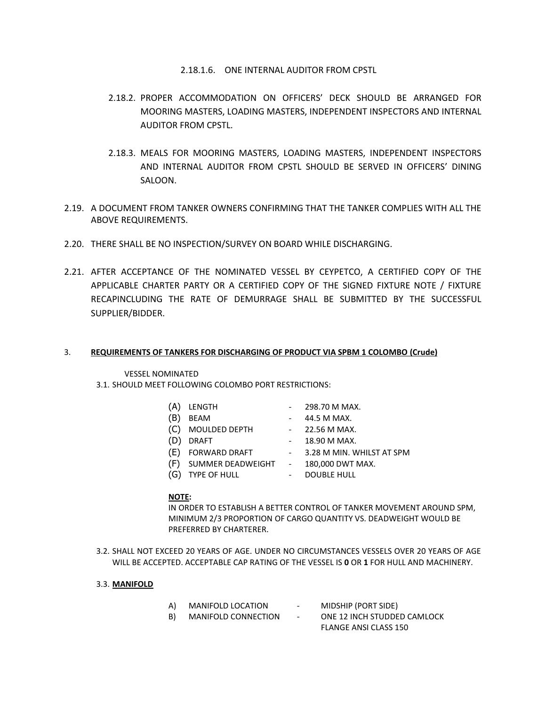- 2.18.1.6. ONE INTERNAL AUDITOR FROM CPSTL
- 2.18.2. PROPER ACCOMMODATION ON OFFICERS' DECK SHOULD BE ARRANGED FOR MOORING MASTERS, LOADING MASTERS, INDEPENDENT INSPECTORS AND INTERNAL AUDITOR FROM CPSTL.
- 2.18.3. MEALS FOR MOORING MASTERS, LOADING MASTERS, INDEPENDENT INSPECTORS AND INTERNAL AUDITOR FROM CPSTL SHOULD BE SERVED IN OFFICERS' DINING SALOON.
- 2.19. A DOCUMENT FROM TANKER OWNERS CONFIRMING THAT THE TANKER COMPLIES WITH ALL THE ABOVE REQUIREMENTS.
- 2.20. THERE SHALL BE NO INSPECTION/SURVEY ON BOARD WHILE DISCHARGING.
- 2.21. AFTER ACCEPTANCE OF THE NOMINATED VESSEL BY CEYPETCO, A CERTIFIED COPY OF THE APPLICABLE CHARTER PARTY OR A CERTIFIED COPY OF THE SIGNED FIXTURE NOTE / FIXTURE RECAPINCLUDING THE RATE OF DEMURRAGE SHALL BE SUBMITTED BY THE SUCCESSFUL SUPPLIER/BIDDER.

## 3. **REQUIREMENTS OF TANKERS FOR DISCHARGING OF PRODUCT VIA SPBM 1 COLOMBO (Crude)**

VESSEL NOMINATED

3.1. SHOULD MEET FOLLOWING COLOMBO PORT RESTRICTIONS:

| (A) | LENGTH              |                | 298.70 M MAX.               |
|-----|---------------------|----------------|-----------------------------|
| (B) | <b>BEAM</b>         |                | 44.5 M MAX.                 |
| (C) | MOULDED DEPTH       | $\blacksquare$ | 22.56 M MAX.                |
| (D) | <b>DRAFT</b>        |                | 18.90 M MAX.                |
|     | (E) FORWARD DRAFT   |                | - 3.28 M MIN. WHILST AT SPM |
| (F) | SUMMER DEADWEIGHT - |                | 180,000 DWT MAX.            |
| (G) | <b>TYPE OF HULL</b> |                | <b>DOUBLE HULL</b>          |
|     |                     |                |                             |

## **NOTE:**

IN ORDER TO ESTABLISH A BETTER CONTROL OF TANKER MOVEMENT AROUND SPM, MINIMUM 2/3 PROPORTION OF CARGO QUANTITY VS. DEADWEIGHT WOULD BE PREFERRED BY CHARTERER.

- 3.2. SHALL NOT EXCEED 20 YEARS OF AGE. UNDER NO CIRCUMSTANCES VESSELS OVER 20 YEARS OF AGE WILL BE ACCEPTED. ACCEPTABLE CAP RATING OF THE VESSEL IS **0** OR **1** FOR HULL AND MACHINERY.
- 3.3. **MANIFOLD**

| MANIFOLD LOCATION          | $\overline{\phantom{0}}$ | MIDSHIP (PORT SIDE)          |
|----------------------------|--------------------------|------------------------------|
| <b>MANIFOLD CONNECTION</b> | $\overline{\phantom{0}}$ | ONE 12 INCH STUDDED CAMLOCK  |
|                            |                          | <b>FLANGE ANSI CLASS 150</b> |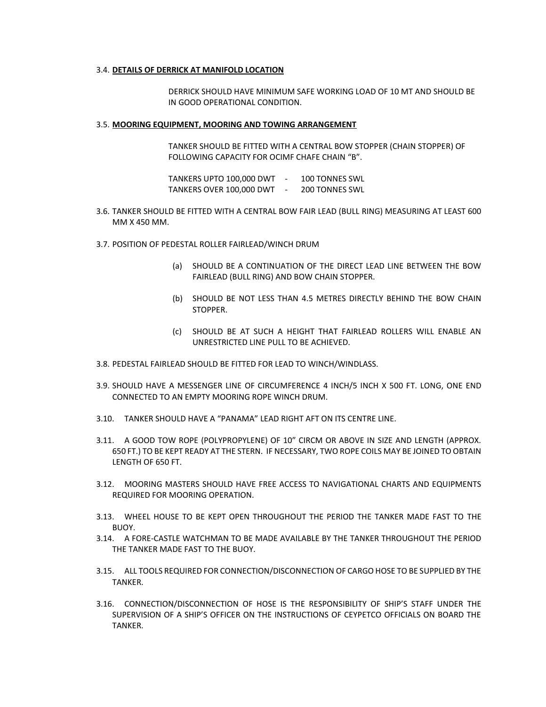#### 3.4. **DETAILS OF DERRICK AT MANIFOLD LOCATION**

DERRICK SHOULD HAVE MINIMUM SAFE WORKING LOAD OF 10 MT AND SHOULD BE IN GOOD OPERATIONAL CONDITION.

#### 3.5. **MOORING EQUIPMENT, MOORING AND TOWING ARRANGEMENT**

TANKER SHOULD BE FITTED WITH A CENTRAL BOW STOPPER (CHAIN STOPPER) OF FOLLOWING CAPACITY FOR OCIMF CHAFE CHAIN "B".

TANKERS UPTO 100,000 DWT - 100 TONNES SWL TANKERS OVER 100,000 DWT - 200 TONNES SWL

- 3.6. TANKER SHOULD BE FITTED WITH A CENTRAL BOW FAIR LEAD (BULL RING) MEASURING AT LEAST 600 MM X 450 MM.
- 3.7. POSITION OF PEDESTAL ROLLER FAIRLEAD/WINCH DRUM
	- (a) SHOULD BE A CONTINUATION OF THE DIRECT LEAD LINE BETWEEN THE BOW FAIRLEAD (BULL RING) AND BOW CHAIN STOPPER.
	- (b) SHOULD BE NOT LESS THAN 4.5 METRES DIRECTLY BEHIND THE BOW CHAIN STOPPER.
	- (c) SHOULD BE AT SUCH A HEIGHT THAT FAIRLEAD ROLLERS WILL ENABLE AN UNRESTRICTED LINE PULL TO BE ACHIEVED.
- 3.8. PEDESTAL FAIRLEAD SHOULD BE FITTED FOR LEAD TO WINCH/WINDLASS.
- 3.9. SHOULD HAVE A MESSENGER LINE OF CIRCUMFERENCE 4 INCH/5 INCH X 500 FT. LONG, ONE END CONNECTED TO AN EMPTY MOORING ROPE WINCH DRUM.
- 3.10. TANKER SHOULD HAVE A "PANAMA" LEAD RIGHT AFT ON ITS CENTRE LINE.
- 3.11. A GOOD TOW ROPE (POLYPROPYLENE) OF 10" CIRCM OR ABOVE IN SIZE AND LENGTH (APPROX. 650 FT.) TO BE KEPT READY AT THE STERN. IF NECESSARY, TWO ROPE COILS MAY BE JOINED TO OBTAIN LENGTH OF 650 FT.
- 3.12. MOORING MASTERS SHOULD HAVE FREE ACCESS TO NAVIGATIONAL CHARTS AND EQUIPMENTS REQUIRED FOR MOORING OPERATION.
- 3.13. WHEEL HOUSE TO BE KEPT OPEN THROUGHOUT THE PERIOD THE TANKER MADE FAST TO THE BUOY.
- 3.14. A FORE-CASTLE WATCHMAN TO BE MADE AVAILABLE BY THE TANKER THROUGHOUT THE PERIOD THE TANKER MADE FAST TO THE BUOY.
- 3.15. ALL TOOLS REQUIRED FOR CONNECTION/DISCONNECTION OF CARGO HOSE TO BE SUPPLIED BY THE TANKER.
- 3.16. CONNECTION/DISCONNECTION OF HOSE IS THE RESPONSIBILITY OF SHIP'S STAFF UNDER THE SUPERVISION OF A SHIP'S OFFICER ON THE INSTRUCTIONS OF CEYPETCO OFFICIALS ON BOARD THE TANKER.